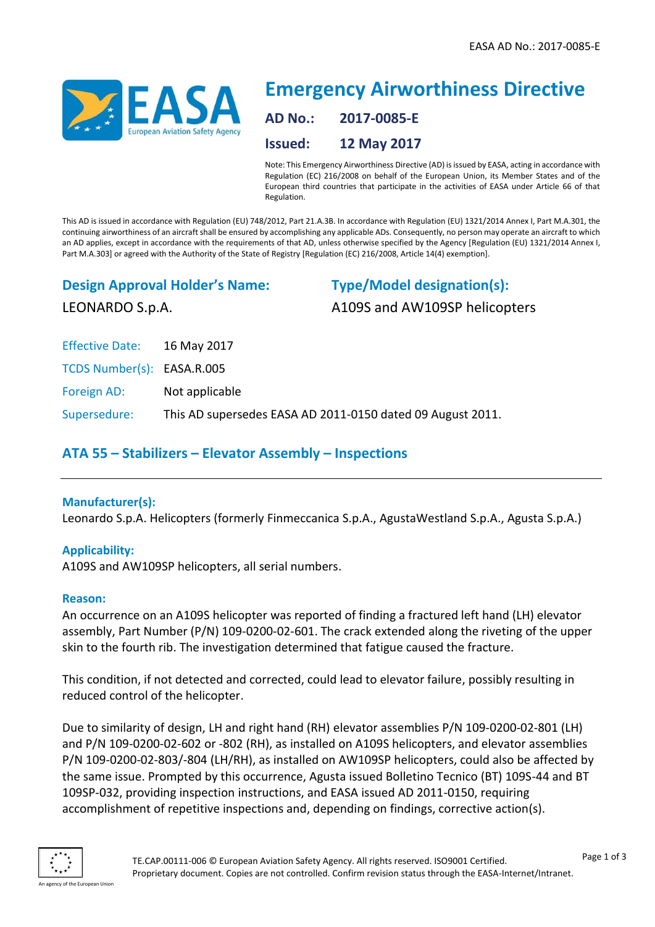

# **Emergency Airworthiness Directive AD No.: 2017-0085-E Issued: 12 May 2017**

Note: This Emergency Airworthiness Directive (AD) is issued by EASA, acting in accordance with Regulation (EC) 216/2008 on behalf of the European Union, its Member States and of the European third countries that participate in the activities of EASA under Article 66 of that Regulation.

This AD is issued in accordance with Regulation (EU) 748/2012, Part 21.A.3B. In accordance with Regulation (EU) 1321/2014 Annex I, Part M.A.301, the continuing airworthiness of an aircraft shall be ensured by accomplishing any applicable ADs. Consequently, no person may operate an aircraft to which an AD applies, except in accordance with the requirements of that AD, unless otherwise specified by the Agency [Regulation (EU) 1321/2014 Annex I, Part M.A.303] or agreed with the Authority of the State of Registry [Regulation (EC) 216/2008, Article 14(4) exemption].

**Design Approval Holder's Name:**

**Type/Model designation(s):** A109S and AW109SP helicopters

Effective Date: 16 May 2017

LEONARDO S.p.A.

TCDS Number(s): EASA.R.005

Foreign AD: Not applicable

Supersedure: This AD supersedes EASA AD 2011-0150 dated 09 August 2011.

# **ATA 55 – Stabilizers – Elevator Assembly – Inspections**

# **Manufacturer(s):**

Leonardo S.p.A. Helicopters (formerly Finmeccanica S.p.A., AgustaWestland S.p.A., Agusta S.p.A.)

# **Applicability:**

A109S and AW109SP helicopters, all serial numbers.

# **Reason:**

An occurrence on an A109S helicopter was reported of finding a fractured left hand (LH) elevator assembly, Part Number (P/N) 109-0200-02-601. The crack extended along the riveting of the upper skin to the fourth rib. The investigation determined that fatigue caused the fracture.

This condition, if not detected and corrected, could lead to elevator failure, possibly resulting in reduced control of the helicopter.

Due to similarity of design, LH and right hand (RH) elevator assemblies P/N 109-0200-02-801 (LH) and P/N 109-0200-02-602 or -802 (RH), as installed on A109S helicopters, and elevator assemblies P/N 109-0200-02-803/-804 (LH/RH), as installed on AW109SP helicopters, could also be affected by the same issue. Prompted by this occurrence, Agusta issued Bolletino Tecnico (BT) 109S-44 and BT 109SP-032, providing inspection instructions, and EASA issued AD 2011-0150, requiring accomplishment of repetitive inspections and, depending on findings, corrective action(s).

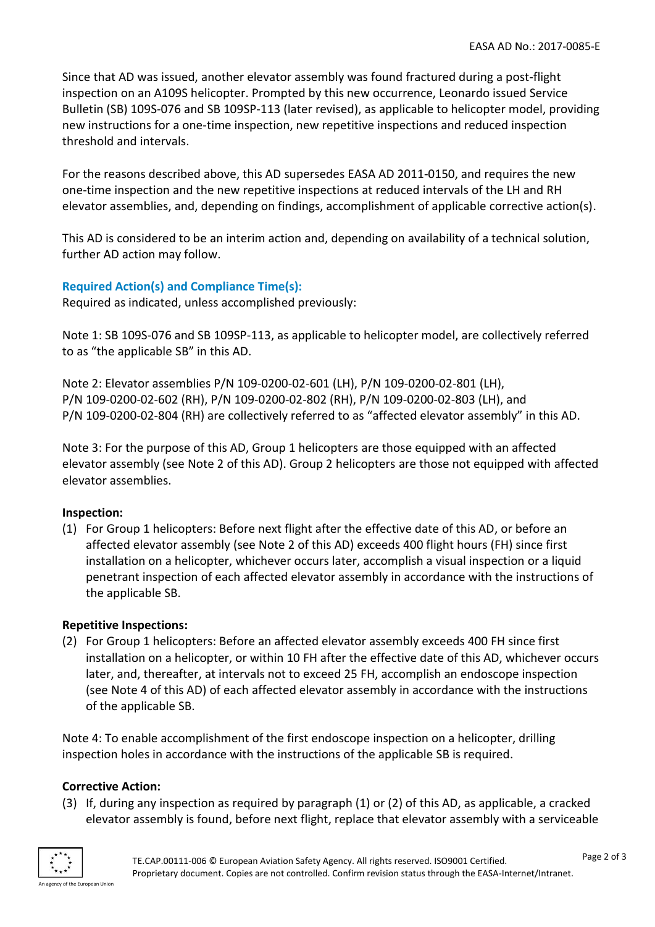Since that AD was issued, another elevator assembly was found fractured during a post-flight inspection on an A109S helicopter. Prompted by this new occurrence, Leonardo issued Service Bulletin (SB) 109S-076 and SB 109SP-113 (later revised), as applicable to helicopter model, providing new instructions for a one-time inspection, new repetitive inspections and reduced inspection threshold and intervals.

For the reasons described above, this AD supersedes EASA AD 2011-0150, and requires the new one-time inspection and the new repetitive inspections at reduced intervals of the LH and RH elevator assemblies, and, depending on findings, accomplishment of applicable corrective action(s).

This AD is considered to be an interim action and, depending on availability of a technical solution, further AD action may follow.

# **Required Action(s) and Compliance Time(s):**

Required as indicated, unless accomplished previously:

Note 1: SB 109S-076 and SB 109SP-113, as applicable to helicopter model, are collectively referred to as "the applicable SB" in this AD.

Note 2: Elevator assemblies P/N 109-0200-02-601 (LH), P/N 109-0200-02-801 (LH), P/N 109-0200-02-602 (RH), P/N 109-0200-02-802 (RH), P/N 109-0200-02-803 (LH), and P/N 109-0200-02-804 (RH) are collectively referred to as "affected elevator assembly" in this AD.

Note 3: For the purpose of this AD, Group 1 helicopters are those equipped with an affected elevator assembly (see Note 2 of this AD). Group 2 helicopters are those not equipped with affected elevator assemblies.

# **Inspection:**

(1) For Group 1 helicopters: Before next flight after the effective date of this AD, or before an affected elevator assembly (see Note 2 of this AD) exceeds 400 flight hours (FH) since first installation on a helicopter, whichever occurs later, accomplish a visual inspection or a liquid penetrant inspection of each affected elevator assembly in accordance with the instructions of the applicable SB.

#### **Repetitive Inspections:**

(2) For Group 1 helicopters: Before an affected elevator assembly exceeds 400 FH since first installation on a helicopter, or within 10 FH after the effective date of this AD, whichever occurs later, and, thereafter, at intervals not to exceed 25 FH, accomplish an endoscope inspection (see Note 4 of this AD) of each affected elevator assembly in accordance with the instructions of the applicable SB.

Note 4: To enable accomplishment of the first endoscope inspection on a helicopter, drilling inspection holes in accordance with the instructions of the applicable SB is required.

#### **Corrective Action:**

(3) If, during any inspection as required by paragraph (1) or (2) of this AD, as applicable, a cracked elevator assembly is found, before next flight, replace that elevator assembly with a serviceable